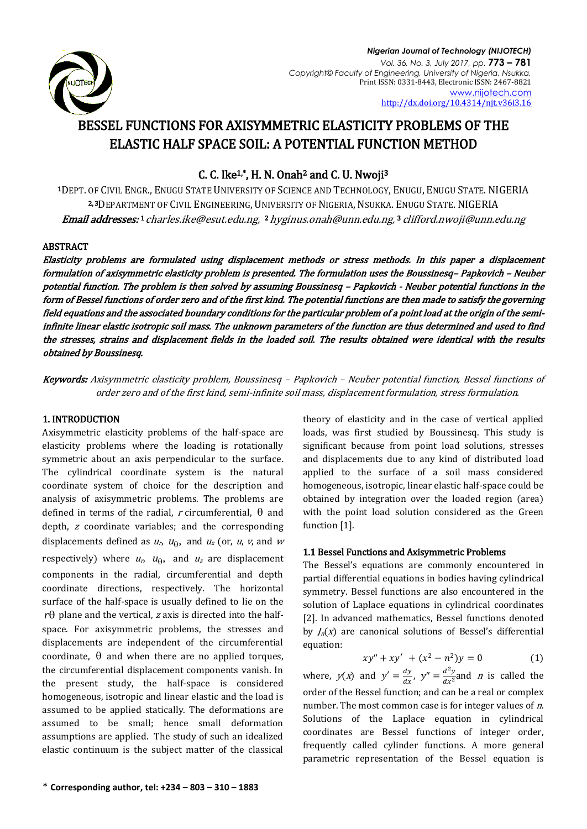

# BESSEL FUNCTIONS FOR AXISYMMETRIC ELASTICITY PROBLEMS OF THE ELASTIC HALF SPACE SOIL: A POTENTIAL FUNCTION METHOD

C. C. Ike1,\*, H. N. Onah2 and C. U. Nwoji<sup>3</sup>

<sup>1</sup>DEPT. OF CIVIL ENGR., ENUGU STATE UNIVERSITY OF SCIENCE AND TECHNOLOGY, ENUGU, ENUGU STATE. NIGERIA 2, <sup>3</sup>DEPARTMENT OF CIVIL ENGINEERING, UNIVERSITY OF NIGERIA, NSUKKA. ENUGU STATE. NIGERIA **Email addresses: 1** [charles.ike@esut.edu.ng,](mailto:charles.ike@esut.edu.ng) 2 [hyginus.onah@unn.edu.ng,](mailto:hyginus.onah@unn.edu.ng)  3 clifford.nwoji@unn.edu.ng

# ABSTRACT

Elasticity problems are formulated using displacement methods or stress methods. In this paper a displacement formulation of axisymmetric elasticity problem is presented. The formulation uses the Boussinesq– Papkovich – Neuber potential function. The problem is then solved by assuming Boussinesq – Papkovich - Neuber potential functions in the form of Bessel functions of order zero and of the first kind. The potential functions are then made to satisfy the governing field equations and the associated boundary conditions for the particular problem of a point load at the origin of the semiinfinite linear elastic isotropic soil mass. The unknown parameters of the function are thus determined and used to find the stresses, strains and displacement fields in the loaded soil. The results obtained were identical with the results obtained by Boussinesq.

Keywords: Axisymmetric elasticity problem, Boussinesq – Papkovich – Neuber potential function, Bessel functions of order zero and of the first kind, semi-infinite soil mass, displacement formulation, stress formulation.

# 1. INTRODUCTION

Axisymmetric elasticity problems of the half-space are elasticity problems where the loading is rotationally symmetric about an axis perpendicular to the surface. The cylindrical coordinate system is the natural coordinate system of choice for the description and analysis of axisymmetric problems. The problems are defined in terms of the radial, r circumferential,  $\theta$  and depth, <sup>z</sup> coordinate variables; and the corresponding displacements defined as  $u_n$ ,  $u_{\theta}$ , and  $u_z$  (or,  $u$ ,  $v$ , and  $w$ respectively) where  $u_r$ ,  $u_\theta$ , and  $u_z$  are displacement components in the radial, circumferential and depth coordinate directions, respectively. The horizontal surface of the half-space is usually defined to lie on the  $r\theta$  plane and the vertical, *z* axis is directed into the halfspace. For axisymmetric problems, the stresses and displacements are independent of the circumferential coordinate,  $\theta$  and when there are no applied torques, the circumferential displacement components vanish. In the present study, the half-space is considered homogeneous, isotropic and linear elastic and the load is assumed to be applied statically. The deformations are assumed to be small; hence small deformation assumptions are applied. The study of such an idealized elastic continuum is the subject matter of the classical

theory of elasticity and in the case of vertical applied loads, was first studied by Boussinesq. This study is significant because from point load solutions, stresses and displacements due to any kind of distributed load applied to the surface of a soil mass considered homogeneous, isotropic, linear elastic half-space could be obtained by integration over the loaded region (area) with the point load solution considered as the Green function [1].

# 1.1 Bessel Functions and Axisymmetric Problems

The Bessel's equations are commonly encountered in partial differential equations in bodies having cylindrical symmetry. Bessel functions are also encountered in the solution of Laplace equations in cylindrical coordinates [2]. In advanced mathematics, Bessel functions denoted by  $J_n(x)$  are canonical solutions of Bessel's differential equation:

$$
xy'' + xy' + (x^2 - n^2)y = 0
$$
 (1)

where,  $y(x)$  and  $y' = \frac{d}{dx}$  $\frac{dy}{dx}$ ,  $y'' = \frac{d^2}{dx}$  $\frac{a}{dx^2}$  and *n* is called the order of the Bessel function; and can be a real or complex number. The most common case is for integer values of n. Solutions of the Laplace equation in cylindrical coordinates are Bessel functions of integer order, frequently called cylinder functions. A more general parametric representation of the Bessel equation is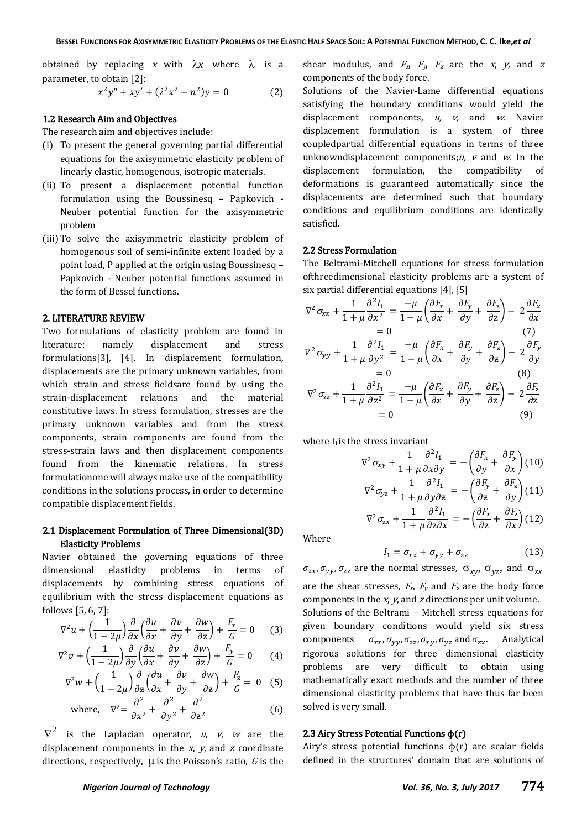obtained by replacing x with  $\lambda x$  where  $\lambda$  is a parameter, to obtain [2]:

$$
x^{2}y'' + xy' + (\lambda^{2}x^{2} - n^{2})y = 0
$$
 (2)

#### 1.2 Research Aim and Objectives

The research aim and objectives include:

- (i) To present the general governing partial differential equations for the axisymmetric elasticity problem of linearly elastic, homogenous, isotropic materials.
- (ii) To present a displacement potential function formulation using the Boussinesq – Papkovich - Neuber potential function for the axisymmetric problem
- (iii)To solve the axisymmetric elasticity problem of homogenous soil of semi-infinite extent loaded by a point load, P applied at the origin using Boussinesq – Papkovich - Neuber potential functions assumed in the form of Bessel functions.

### 2. LITERATURE REVIEW

Two formulations of elasticity problem are found in literature; namely displacement and stress formulations[3], [4]. In displacement formulation, displacements are the primary unknown variables, from which strain and stress fieldsare found by using the strain-displacement relations and the material constitutive laws. In stress formulation, stresses are the primary unknown variables and from the stress components, strain components are found from the stress-strain laws and then displacement components found from the kinematic relations. In stress formulationone will always make use of the compatibility conditions in the solutions process, in order to determine compatible displacement fields.

### 2.1 Displacement Formulation of Three Dimensional(3D) Elasticity Problems

Navier obtained the governing equations of three dimensional elasticity problems in terms of displacements by combining stress equations of equilibrium with the stress displacement equations as follows [5, 6, 7]:

$$
\nabla^2 u + \left(\frac{1}{1 - 2\mu}\right) \frac{\partial}{\partial x} \left(\frac{\partial u}{\partial x} + \frac{\partial v}{\partial y} + \frac{\partial w}{\partial z}\right) + \frac{F_x}{G} = 0 \tag{3}
$$

$$
\nabla^2 v + \left(\frac{1}{1 - 2\mu}\right) \frac{\partial}{\partial y} \left(\frac{\partial u}{\partial x} + \frac{\partial v}{\partial y} + \frac{\partial w}{\partial z}\right) + \frac{F_y}{G} = 0 \tag{4}
$$

$$
\nabla^2 w + \left(\frac{1}{1 - 2\mu}\right) \frac{\partial}{\partial z} \left(\frac{\partial u}{\partial x} + \frac{\partial v}{\partial y} + \frac{\partial w}{\partial z}\right) + \frac{F_z}{G} = 0 \quad (5)
$$

where, 
$$
\nabla^2 = \frac{\partial^2}{\partial x^2} + \frac{\partial^2}{\partial y^2} + \frac{\partial^2}{\partial z^2}
$$
 (6)

 $\nabla^2$  is the Laplacian operator, u, v, w are the displacement components in the  $x$ ,  $y$ , and  $z$  coordinate directions, respectively,  $\mu$  is the Poisson's ratio,  $G$  is the shear modulus, and  $F_x$ ,  $F_y$ ,  $F_z$  are the  $x$ ,  $y$ , and  $z$ components of the body force.

Solutions of the Navier-Lame differential equations satisfying the boundary conditions would yield the displacement components,  $u$ ,  $v$ , and  $w$ . Navier displacement formulation is a system of three coupledpartial differential equations in terms of three unknowndisplacement components;  $u$ ,  $v$  and  $w$ . In the displacement formulation, the compatibility of deformations is guaranteed automatically since the displacements are determined such that boundary conditions and equilibrium conditions are identically satisfied.

#### 2.2 Stress Formulation

The Beltrami-Mitchell equations for stress formulation ofthreedimensional elasticity problems are a system of six partial differential equations [4], [5]

$$
\nabla^2 \sigma_{xx} + \frac{1}{1+\mu} \frac{\partial^2 I_1}{\partial x^2} = \frac{-\mu}{1-\mu} \left( \frac{\partial F_x}{\partial x} + \frac{\partial F_y}{\partial y} + \frac{\partial F_z}{\partial z} \right) - 2 \frac{\partial F_x}{\partial x}
$$
  
\n= 0 (7)  
\n
$$
\nabla^2 \sigma_{yy} + \frac{1}{1+\mu} \frac{\partial^2 I_1}{\partial y^2} = \frac{-\mu}{1-\mu} \left( \frac{\partial F_x}{\partial x} + \frac{\partial F_y}{\partial y} + \frac{\partial F_z}{\partial z} \right) - 2 \frac{\partial F_y}{\partial y}
$$
  
\n= 0 (8)  
\n
$$
\nabla^2 \sigma_{zz} + \frac{1}{1+\mu} \frac{\partial^2 I_1}{\partial z^2} = \frac{-\mu}{1-\mu} \left( \frac{\partial F_x}{\partial x} + \frac{\partial F_y}{\partial y} + \frac{\partial F_z}{\partial z} \right) - 2 \frac{\partial F_z}{\partial z}
$$
  
\n= 0 (9)

where  $I_1$  is the stress invariant

$$
\nabla^2 \sigma_{xy} + \frac{1}{1+\mu} \frac{\partial^2 I_1}{\partial x \partial y} = -\left(\frac{\partial F_x}{\partial y} + \frac{\partial F_y}{\partial x}\right) (10)
$$

$$
\nabla^2 \sigma_{yz} + \frac{1}{1+\mu} \frac{\partial^2 I_1}{\partial x \partial x} = -\left(\frac{\partial F_y}{\partial x} + \frac{\partial F_z}{\partial x}\right) (11)
$$

$$
\nabla^2 \sigma_{yz} + \frac{1}{1+\mu} \frac{\partial^2 I_1}{\partial y \partial z} = -\left(\frac{y}{\partial z} + \frac{z}{\partial y}\right) (11)
$$
  

$$
\nabla^2 \sigma_{zx} + \frac{1}{1+\mu} \frac{\partial^2 I_1}{\partial z \partial x} = -\left(\frac{\partial F_x}{\partial z} + \frac{\partial F_z}{\partial x}\right) (12)
$$

Where

$$
I_1 = \sigma_{xx} + \sigma_{yy} + \sigma_{zz} \tag{13}
$$

 $\sigma_{xx}$ ,  $\sigma_{yy}$ ,  $\sigma_{zz}$  are the normal stresses,  $\sigma_{xy}$ ,  $\sigma_{yz}$ , and  $\sigma_{zx}$ are the shear stresses,  $F_x$ ,  $F_y$  and  $F_z$  are the body force components in the  $x$ ,  $y$ , and  $z$  directions per unit volume. Solutions of the Beltrami – Mitchell stress equations for given boundary conditions would yield six stress components  $\sigma_{xx}, \sigma_{yy}, \sigma_{zz}, \sigma_{xy}, \sigma_{yz}$  and  $\sigma_{zx}$ . Analytical rigorous solutions for three dimensional elasticity problems are very difficult to obtain using mathematically exact methods and the number of three dimensional elasticity problems that have thus far been solved is very small.

 $\mathbf{1}$ 

### 2.3 Airy Stress Potential Functions  $\phi(r)$

Airy's stress potential functions  $\phi(r)$  are scalar fields defined in the structures' domain that are solutions of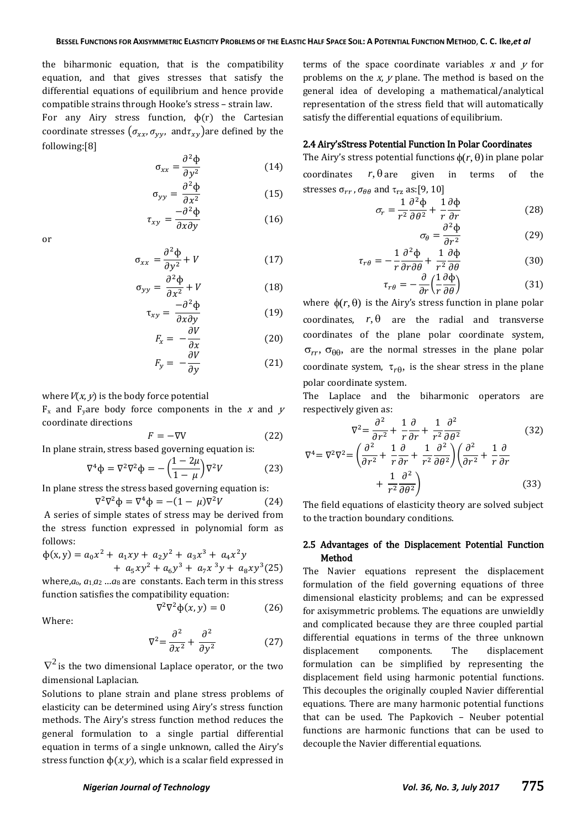the biharmonic equation, that is the compatibility equation, and that gives stresses that satisfy the differential equations of equilibrium and hence provide compatible strains through Hooke's stress – strain law.

For any Airy stress function,  $\phi(r)$  the Cartesian coordinate stresses  $(\sigma_{xx}, \sigma_{yy}, \text{ and } \tau_{xy})$ are defined by the following:[8]

$$
\sigma_{xx} = \frac{\partial^2 \Phi}{\partial y^2}
$$
 (14)

$$
\sigma_{yy} = \frac{\partial^2 \Phi}{\partial x^2} \tag{15}
$$

$$
\tau_{xy} = \frac{-\partial^2 \Phi}{\partial x \partial y} \tag{16}
$$

or

$$
\sigma_{xx} = \frac{\partial^2 \Phi}{\partial y^2} + V \tag{17}
$$

$$
\sigma_{yy} = \frac{\partial^2 \Phi}{\partial x^2} + V \tag{18}
$$

$$
\tau_{xy} = \frac{-\partial^2 \Phi}{\partial x \partial y} \tag{19}
$$

$$
F_x = -\frac{\partial V}{\partial x}
$$
 (20)

$$
F_y = -\frac{\partial V}{\partial y} \tag{21}
$$

### where  $V(x, y)$  is the body force potential

 $F_x$  and  $F_y$ are body force components in the x and y coordinate directions

$$
F = -\nabla V \tag{22}
$$

In plane strain, stress based governing equation is:

$$
\nabla^4 \Phi = \nabla^2 \nabla^2 \Phi = -\left(\frac{1 - 2\mu}{1 - \mu}\right) \nabla^2 V \tag{23}
$$

In plane stress the stress based governing equation is:

$$
\nabla^2 \nabla^2 \Phi = \nabla^4 \Phi = -(1 - \mu) \nabla^2 V \tag{24}
$$

A series of simple states of stress may be derived from the stress function expressed in polynomial form as follows:

$$
\Phi(x, y) = a_0 x^2 + a_1 xy + a_2 y^2 + a_3 x^3 + a_4 x^2 y
$$
  
+  $a_5 xy^2 + a_6 y^3 + a_7 x^3 y + a_8 xy^3 (25)$   
where a, a is 9, 9, 22.

where, $a_0$ ,  $a_1 a_2$  ... $a_8$  are constants. Each term in this stress function satisfies the compatibility equation:

$$
\nabla^2 \nabla^2 \phi(x, y) = 0 \tag{26}
$$

Where:

$$
\nabla^2 = \frac{\partial^2}{\partial x^2} + \frac{\partial^2}{\partial y^2} \tag{27}
$$

 $\nabla^2$  is the two dimensional Laplace operator, or the two dimensional Laplacian.

Solutions to plane strain and plane stress problems of elasticity can be determined using Airy's stress function methods. The Airy's stress function method reduces the general formulation to a single partial differential equation in terms of a single unknown, called the Airy's stress function  $\phi(x, y)$ , which is a scalar field expressed in

terms of the space coordinate variables  $x$  and  $y$  for problems on the  $x$ ,  $y$  plane. The method is based on the general idea of developing a mathematical/analytical representation of the stress field that will automatically satisfy the differential equations of equilibrium.

### 2.4 Airy'sStress Potential Function In Polar Coordinates

The Airy's stress potential functions  $\phi(r, \theta)$  in plane polar

coordinates 
$$
r
$$
,  $\theta$  are given in terms of the  
stresses  $\sigma_{rr}$ ,  $\sigma_{\theta\theta}$  and  $\tau_{rz}$  as:[9, 10]

$$
\sigma_r = \frac{1}{r^2} \frac{\partial^2 \Phi}{\partial \theta^2} + \frac{1}{r} \frac{\partial \Phi}{\partial r}
$$
(28)

$$
\sigma_{\theta} = \frac{\partial^2 \Phi}{\partial r^2} \tag{29}
$$

$$
\tau_{r\theta} = -\frac{1}{r} \frac{\partial^2 \Phi}{\partial r \partial \theta} + \frac{1}{r^2} \frac{\partial \Phi}{\partial \theta}
$$
(30)

$$
\tau_{r\theta} = -\frac{\partial}{\partial r} \left( \frac{1}{r} \frac{\partial \Phi}{\partial \theta} \right) \tag{31}
$$

where  $\phi(r, \theta)$  is the Airy's stress function in plane polar coordinates,  $r, \theta$  are the radial and transverse coordinates of the plane polar coordinate system,  $\sigma_{rr}$ ,  $\sigma_{\theta\theta}$ , are the normal stresses in the plane polar coordinate system,  $\tau_{r\theta}$ , is the shear stress in the plane polar coordinate system.

The Laplace and the biharmonic operators are respectively given as:

$$
\nabla^2 = \frac{\partial^2}{\partial r^2} + \frac{1}{r} \frac{\partial}{\partial r} + \frac{1}{r^2} \frac{\partial^2}{\partial \theta^2}
$$
(32)  

$$
\nabla^4 = \nabla^2 \nabla^2 = \left(\frac{\partial^2}{\partial r^2} + \frac{1}{r} \frac{\partial}{\partial r} + \frac{1}{r^2} \frac{\partial^2}{\partial \theta^2}\right) \left(\frac{\partial^2}{\partial r^2} + \frac{1}{r} \frac{\partial}{\partial r} + \frac{1}{r^2} \frac{\partial^2}{\partial \theta^2}\right)
$$
(33)

The field equations of elasticity theory are solved subject to the traction boundary conditions.

### 2.5 Advantages of the Displacement Potential Function Method

The Navier equations represent the displacement formulation of the field governing equations of three dimensional elasticity problems; and can be expressed for axisymmetric problems. The equations are unwieldly and complicated because they are three coupled partial differential equations in terms of the three unknown displacement components. The displacement formulation can be simplified by representing the displacement field using harmonic potential functions. This decouples the originally coupled Navier differential equations. There are many harmonic potential functions that can be used. The Papkovich – Neuber potential functions are harmonic functions that can be used to decouple the Navier differential equations.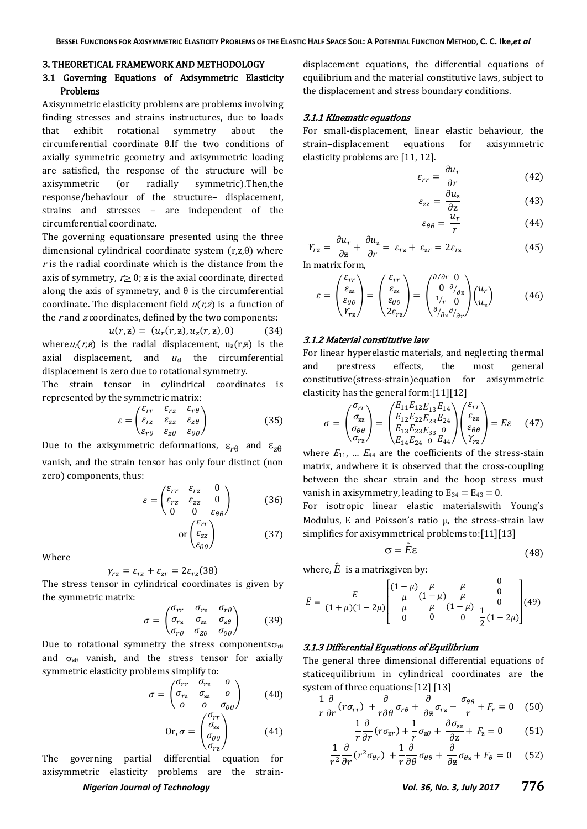#### 3. THEORETICAL FRAMEWORK AND METHODOLOGY

# 3.1 Governing Equations of Axisymmetric Elasticity Problems

Axisymmetric elasticity problems are problems involving finding stresses and strains instructures, due to loads that exhibit rotational symmetry about the circumferential coordinate θ.If the two conditions of axially symmetric geometry and axisymmetric loading are satisfied, the response of the structure will be axisymmetric (or radially symmetric).Then,the response/behaviour of the structure– displacement, strains and stresses – are independent of the circumferential coordinate.

The governing equationsare presented using the three dimensional cylindrical coordinate system  $(r, z, \theta)$  where  $r$  is the radial coordinate which is the distance from the axis of symmetry,  $r > 0$ ; z is the axial coordinate, directed along the axis of symmetry, and  $\theta$  is the circumferential coordinate. The displacement field  $u(r,z)$  is a function of the r and  $\boldsymbol{z}$  coordinates, defined by the two components:

 $u(r, z) = (u_r(r, z), u_z(r, z), 0)$  (34) whereu<sub>r</sub>(r, z) is the radial displacement,  $u_z(r, z)$  is the axial displacement, and  $u_{\theta}$  the circumferential displacement is zero due to rotational symmetry.

The strain tensor in cylindrical coordinates is represented by the symmetric matrix:

$$
\varepsilon = \begin{pmatrix} \varepsilon_{rr} & \varepsilon_{rz} & \varepsilon_{r\theta} \\ \varepsilon_{rz} & \varepsilon_{zz} & \varepsilon_{z\theta} \\ \varepsilon_{r\theta} & \varepsilon_{z\theta} & \varepsilon_{\theta\theta} \end{pmatrix}
$$
(35)

Due to the axisymmetric deformations,  $\varepsilon_{r\theta}$  and  $\varepsilon_{z\theta}$ vanish, and the strain tensor has only four distinct (non zero) components, thus:

$$
\varepsilon = \begin{pmatrix} \varepsilon_{rr} & \varepsilon_{rz} & 0 \\ \varepsilon_{rz} & \varepsilon_{zz} & 0 \\ 0 & 0 & \varepsilon_{\theta\theta} \end{pmatrix} \tag{36}
$$

 $(37)$ 

or (

 $\epsilon$  $\epsilon$ 

Where

$$
\gamma_{rz} = \varepsilon_{rz} + \varepsilon_{zr} = 2\varepsilon_{rz}(38)
$$

The stress tensor in cylindrical coordinates is given by the symmetric matrix:

$$
\sigma = \begin{pmatrix} \sigma_{rr} & \sigma_{rz} & \sigma_{r\theta} \\ \sigma_{rz} & \sigma_{zz} & \sigma_{z\theta} \\ \sigma_{r\theta} & \sigma_{Z\theta} & \sigma_{\theta\theta} \end{pmatrix}
$$
 (39)

Due to rotational symmetry the stress components  $\sigma_{r\theta}$ and  $\sigma_{z\theta}$  vanish, and the stress tensor for axially symmetric elasticity problems simplify to:

$$
\sigma = \begin{pmatrix} \sigma_{rr} & \sigma_{rz} & 0 \\ \sigma_{rz} & \sigma_{zz} & 0 \\ 0 & 0 & \sigma_{\theta\theta} \end{pmatrix}
$$
 (40)  
Or, 
$$
\sigma = \begin{pmatrix} \sigma_{rr} \\ \sigma_{zz} \\ \sigma_{\theta\theta} \\ \sigma_{rz} \end{pmatrix}
$$
 (41)

The governing partial differential equation for axisymmetric elasticity problems are the strain-

displacement equations, the differential equations of equilibrium and the material constitutive laws, subject to the displacement and stress boundary conditions.

#### 3.1.1 Kinematic equations

For small-displacement, linear elastic behaviour, the strain–displacement equations for axisymmetric elasticity problems are [11, 12].

$$
\varepsilon_{rr} = \frac{\partial u_r}{\partial r} \tag{42}
$$

$$
\varepsilon_{zz} = \frac{\partial u_z}{\partial z} \tag{43}
$$

$$
\varepsilon_{\theta\theta} = \frac{a_r}{r} \tag{44}
$$

$$
Y_{rz} = \frac{\partial u_r}{\partial z} + \frac{\partial u_z}{\partial r} = \varepsilon_{rz} + \varepsilon_{zr} = 2\varepsilon_{rz}
$$
(45)

In matrix form,

$$
\varepsilon = \begin{pmatrix} \varepsilon_{rr} \\ \varepsilon_{zz} \\ \varepsilon_{\theta\theta} \\ Y_{rz} \end{pmatrix} = \begin{pmatrix} \varepsilon_{rr} \\ \varepsilon_{zz} \\ \varepsilon_{\theta\theta} \\ 2\varepsilon_{rz} \end{pmatrix} = \begin{pmatrix} \frac{\partial/\partial r}{\partial t} & 0 \\ 0 & \frac{\partial}{\partial z} \\ 1/r & 0 \\ \frac{\partial}{\partial z} \frac{\partial}{\partial r} \end{pmatrix} \begin{pmatrix} u_r \\ u_z \end{pmatrix} \tag{46}
$$

#### 3.1.2 Material constitutive law

For linear hyperelastic materials, and neglecting thermal and prestress effects, the most general constitutive(stress-strain)equation for axisymmetric elasticity has the general form:[11][12]

$$
\sigma = \begin{pmatrix} \sigma_{rr} \\ \sigma_{zz} \\ \sigma_{\theta\theta} \\ \sigma_{rz} \end{pmatrix} = \begin{pmatrix} E_{11}E_{12}E_{13}E_{14} \\ E_{12}E_{22}E_{23}E_{24} \\ E_{13}E_{23}E_{33} \sigma \\ E_{14}E_{24} \sigma E_{44} \end{pmatrix} \begin{pmatrix} \varepsilon_{rr} \\ \varepsilon_{zz} \\ \varepsilon_{\theta\theta} \\ Y_{rz} \end{pmatrix} = E\varepsilon \quad (47)
$$

where  $E_{11}$ , ...  $E_{44}$  are the coefficients of the stress-stain matrix, andwhere it is observed that the cross-coupling between the shear strain and the hoop stress must vanish in axisymmetry, leading to  $E_{34} = E_{43} = 0$ .

For isotropic linear elastic materials with Young's Modulus, E and Poisson's ratio  $\mu$ , the stress-strain law simplifies for axisymmetrical problems to:[11][13]

$$
\sigma = \hat{E}\varepsilon \tag{48}
$$

where,  $\hat{E}\,$  is a matrixgiven by:

$$
\hat{E} = \frac{E}{(1+\mu)(1-2\mu)} \begin{bmatrix} (1-\mu) & \mu & \mu & 0 \\ \mu & (1-\mu) & \mu & 0 \\ \mu & \mu & (1-\mu) & 0 \\ 0 & 0 & 0 & \frac{1}{2}(1-2\mu) \end{bmatrix} (49)
$$

### 3.1.3 Differential Equations of Equilibrium

The general three dimensional differential equations of staticequilibrium in cylindrical coordinates are the system of three equations: [12] [13]

$$
\frac{1}{r}\frac{\partial}{\partial r}(r\sigma_{rr}) + \frac{\partial}{r\partial\theta}\sigma_{r\theta} + \frac{\partial}{\partial z}\sigma_{rz} - \frac{\sigma_{\theta\theta}}{r} + F_r = 0 \quad (50)
$$

$$
\frac{1}{r}\frac{\partial}{\partial r}(r\sigma_{zr}) + \frac{1}{r}\sigma_{z\theta} + \frac{\partial \sigma_{zz}}{\partial z} + F_z = 0 \tag{51}
$$

$$
\frac{1}{r^2}\frac{\partial}{\partial r}(r^2\sigma_{\theta r}) + \frac{1}{r}\frac{\partial}{\partial \theta}\sigma_{\theta \theta} + \frac{\partial}{\partial z}\sigma_{\theta z} + F_{\theta} = 0 \quad (52)
$$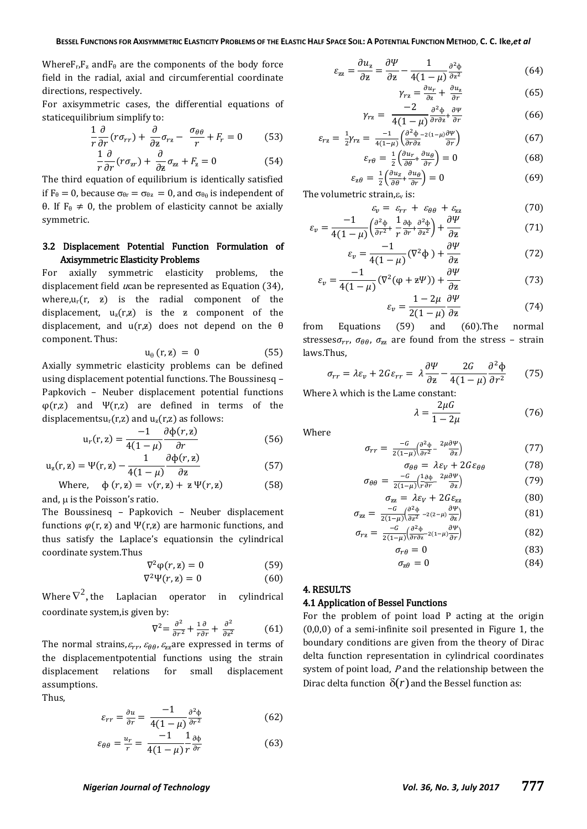Where $F_r, F_z$  and $F_\theta$  are the components of the body force field in the radial, axial and circumferential coordinate directions, respectively.

For axisymmetric cases, the differential equations of staticequilibrium simplify to:

$$
\frac{1}{r}\frac{\partial}{\partial r}(r\sigma_{rr}) + \frac{\partial}{\partial z}\sigma_{rz} - \frac{\sigma_{\theta\theta}}{r} + F_r = 0 \tag{53}
$$

$$
\frac{1}{r}\frac{\partial}{\partial r}(r\sigma_{zr}) + \frac{\partial}{\partial z}\sigma_{zz} + F_z = 0
$$
\n(54)

The third equation of equilibrium is identically satisfied if  $F_{\theta} = 0$ , because  $\sigma_{\theta r} = \sigma_{\theta z} = 0$ , and  $\sigma_{\theta \theta}$  is independent of θ. If  $F_\theta \neq 0$ , the problem of elasticity cannot be axially symmetric.

# 3.2 Displacement Potential Function Formulation of Axisymmetric Elasticity Problems

For axially symmetric elasticity problems, the displacement field *u*can be represented as Equation (34), where, $u_r(r, z)$  is the radial component of the displacement,  $u_z(r,z)$  is the z component of the displacement, and  $u(r,z)$  does not depend on the  $\theta$ component. Thus:

$$
u_{\theta} (r, z) = 0 \tag{55}
$$

Axially symmetric elasticity problems can be defined using displacement potential functions. The Boussinesq – Papkovich – Neuber displacement potential functions  $\varphi(r,z)$  and  $\Psi(r,z)$  are defined in terms of the displacementsu<sub>r</sub>(r,z) and  $u_z(r,z)$  as follows:

$$
u_r(r,z) = \frac{-1}{4(1-\mu)} \frac{\partial \phi(r,z)}{\partial r}
$$
(56)

$$
u_z(r, z) = \Psi(r, z) - \frac{1}{4(1 - \mu)} \frac{\partial \Phi(r, z)}{\partial z}
$$
(57)

Where, 
$$
\phi(r, z) = v(r, z) + z \Psi(r, z)
$$
 (58)

and,  $\mu$  is the Poisson's ratio.

The Boussinesq – Papkovich – Neuber displacement functions  $\varphi(r, z)$  and  $\Psi(r, z)$  are harmonic functions, and thus satisfy the Laplace's equationsin the cylindrical coordinate system.Thus

$$
\nabla^2 \varphi(r, \mathbf{z}) = 0 \tag{59}
$$

$$
\nabla^2 \Psi(r, \mathbf{z}) = 0 \tag{60}
$$

Where  $\nabla^2$ , the Laplacian operator in cylindrical coordinate system,is given by:

$$
\nabla^2 = \frac{\partial^2}{\partial r^2} + \frac{1}{r} \frac{\partial}{\partial r} + \frac{\partial^2}{\partial z^2} \tag{61}
$$

The normal strains,  $\varepsilon_{rr}$ ,  $\varepsilon_{\theta\theta}$ ,  $\varepsilon_{zz}$  are expressed in terms of the displacementpotential functions using the strain displacement relations for small displacement assumptions.

Thus,

$$
\varepsilon_{rr} = \frac{\partial u}{\partial r} = \frac{-1}{4(1-\mu)} \frac{\partial^2 \phi}{\partial r^2}
$$
(62)

$$
\varepsilon_{\theta\theta} = \frac{u_r}{r} = \frac{-1}{4(1-\mu)} \frac{1}{r} \frac{\partial \phi}{\partial r}
$$
(63)

$$
\varepsilon_{zz} = \frac{\partial u_z}{\partial z} = \frac{\partial \Psi}{\partial z} - \frac{1}{4(1-\mu)} \frac{\partial^2 \phi}{\partial z^2}
$$
(64)

$$
\gamma_{rz} = \frac{\partial u_r}{\partial z} + \frac{\partial u_z}{\partial r} \tag{65}
$$

$$
\gamma_{rz} = \frac{-2}{4(1-\mu)} \frac{\partial^2 \phi}{\partial r \partial z^+} \frac{\partial \Psi}{\partial r}
$$
(66)

$$
\varepsilon_{rz} = \frac{1}{2} \gamma_{rz} = \frac{-1}{4(1-\mu)} \left( \frac{\partial^2 \Phi}{\partial r \partial z} - 2(1-\mu) \frac{\partial \Psi}{\partial r} \right)
$$
\n
$$
\varepsilon_{r\theta} = \frac{1}{2} \left( \frac{\partial u_r}{\partial \theta} + \frac{\partial u_\theta}{\partial r} \right) = 0
$$
\n(68)

$$
\varepsilon_{r\theta} = \frac{1}{2} \left( \frac{\partial u_r}{\partial \theta} + \frac{\partial u_\theta}{\partial r} \right) = 0 \tag{68}
$$
\n
$$
\varepsilon_{z\theta} = \frac{1}{2} \left( \frac{\partial u_z}{\partial \theta} + \frac{\partial u_\theta}{\partial r} \right) = 0 \tag{69}
$$

The volumetric strain, $\varepsilon_{v}$  is:

$$
\varepsilon_{v} = \varepsilon_{rr} + \varepsilon_{\theta\theta} + \varepsilon_{zz} \tag{70}
$$

$$
\varepsilon_{v} = \frac{-1}{4(1-\mu)} \left( \frac{\partial^2 \phi}{\partial r^2} + \frac{1}{r} \frac{\partial \phi}{\partial r} + \frac{\partial^2 \phi}{\partial z^2} \right) + \frac{\partial \Psi}{\partial z} \tag{71}
$$

$$
\varepsilon_{v} = \frac{-1}{4(1-\mu)} (\nabla^2 \Phi) + \frac{\partial \Psi}{\partial z}
$$
 (72)

$$
\varepsilon_v = \frac{-1}{4(1-\mu)} (\nabla^2 (\varphi + z \varPsi)) + \frac{\partial \varPsi}{\partial z}
$$
(73)

$$
\varepsilon_{\nu} = \frac{1 - 2\mu}{2(1 - \mu)} \frac{\partial \Psi}{\partial z} \tag{74}
$$

from Equations (59) and (60).The normal stresses $\sigma_{rr}$ ,  $\sigma_{\theta\theta}$ ,  $\sigma_{zz}$  are found from the stress - strain laws.Thus,

$$
\sigma_{rr} = \lambda \varepsilon_v + 2G\varepsilon_{rr} = \lambda \frac{\partial \Psi}{\partial z} - \frac{2G}{4(1-\mu)} \frac{\partial^2 \Phi}{\partial r^2}
$$
(75)

Where  $\lambda$  which is the Lame constant:

$$
\lambda = \frac{2\mu G}{1 - 2\mu} \tag{76}
$$

Where

$$
\sigma_{rr} = \frac{-G}{2(1-\mu)} \left( \frac{\partial^2 \phi}{\partial r^2} - \frac{2\mu \partial \Psi}{\partial z} \right) \tag{77}
$$

$$
\sigma_{\theta\theta} = \lambda \varepsilon_V + 2G\varepsilon_{\theta\theta} \tag{78}
$$
\n
$$
\theta = \frac{-G}{2(1-\mu)} \left( \frac{1}{2\theta^2} - \frac{2\mu \partial \Psi}{\frac{2\pi}{\sigma}} \right) \tag{79}
$$

$$
\sigma_{\theta\theta} = \frac{-\omega}{2(1-\mu)} \left(\frac{1}{r\partial r} - \frac{2\mu \partial r}{\partial z}\right)
$$
\n
$$
\sigma_{zz} = \lambda \varepsilon_V + 2G\varepsilon_{zz}
$$
\n(80)

$$
\sigma_{zz} = \frac{-G}{2(1-\mu)} \left( \frac{\partial^2 \phi}{\partial z^2} - 2(2-\mu) \frac{\partial \psi}{\partial z} \right) \tag{81}
$$

$$
\sigma_{rz} = \frac{-G}{2(1-\mu)} \left( \frac{\partial^2 \phi}{\partial r \partial z} - 2(1-\mu) \frac{\partial \psi}{\partial r} \right) \tag{82}
$$

$$
\sigma_{r\theta} = 0 \tag{83}
$$

$$
\sigma_{z\theta} = 0 \tag{84}
$$

### 4. RESULTS

#### 4.1 Application of Bessel Functions

For the problem of point load P acting at the origin (0,0,0) of a semi-infinite soil presented in Figure 1, the boundary conditions are given from the theory of Dirac delta function representation in cylindrical coordinates system of point load, <sup>P</sup> and the relationship between the Dirac delta function  $\delta(r)$  and the Bessel function as: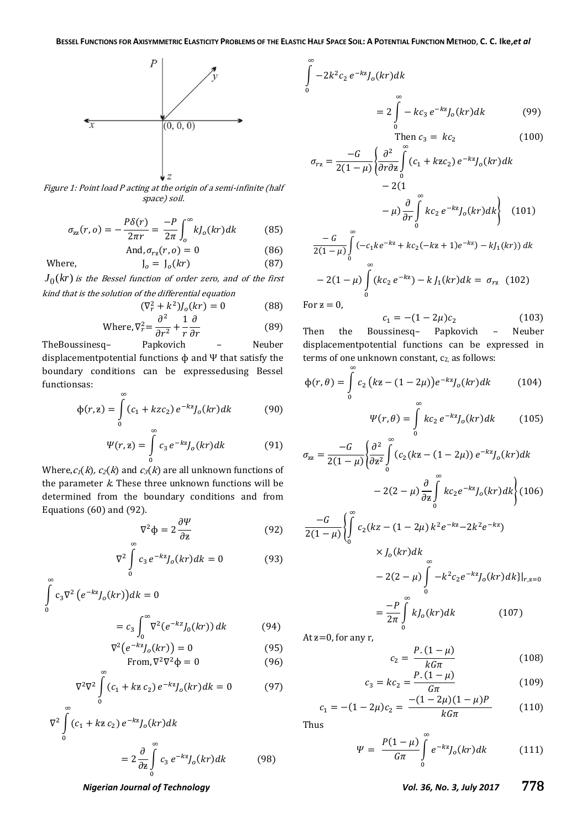$\infty$ 

 $\bf{0}$ 



Figure 1: Point load P acting at the origin of a semi-infinite (half space) soil.

$$
\sigma_{zz}(r, o) = -\frac{P\delta(r)}{2\pi r} = \frac{-P}{2\pi} \int_{o}^{\infty} k J_o(kr) dk \tag{85}
$$

And, 
$$
\sigma_{rz}(r, o) = 0
$$
 (86)

$$
J_o = J_o(kr) \tag{87}
$$

 $J_0(kr)$  is the Bessel function of order zero, and of the first kind that is the solution of the differential equation

Where.

 $\infty$ 

$$
(\nabla_r^2 + k^2)J_o(kr) = 0
$$
 (88)

Where, 
$$
\nabla_r^2 = \frac{\partial}{\partial r^2} + \frac{1}{r} \frac{\partial}{\partial r}
$$
 (89)

TheBoussinesq– Papkovich – Neuber displacementpotential functions ɸ and Ψ that satisfy the boundary conditions can be expressedusing Bessel functionsas:  $\sim$ 

$$
\Phi(r, z) = \int\limits_0^\infty (c_1 + kzc_2) e^{-kz} J_o(kr) dk \tag{90}
$$

$$
\Psi(r, \mathbf{z}) = \int_{0}^{\infty} c_3 e^{-k\mathbf{z}} J_o(kr) dk \tag{91}
$$

Where,  $c_1(k)$ ,  $c_2(k)$  and  $c_3(k)$  are all unknown functions of the parameter  $k$ . These three unknown functions will be determined from the boundary conditions and from Equations (60) and (92).

$$
\nabla^2 \Phi = 2 \frac{\partial \Psi}{\partial z} \tag{92}
$$

$$
\nabla^2 \int_{0}^{1} c_3 e^{-kz} J_o(kr) dk = 0
$$
 (93)

$$
\int_{0}^{R} c_{3} \nabla^{2} (e^{-kz} J_{o}(kr)) dk = 0
$$
\n
$$
= c_{3} \int_{0}^{\infty} \nabla^{2} (e^{-kz} J_{0}(kr)) dk
$$
\n(94)

$$
\nabla^2 \left( e^{-kz} J_o(kr) \right) = 0 \tag{95}
$$

From, 
$$
\nabla^2 \nabla^2 \phi = 0
$$
 (96)

$$
\nabla^2 \nabla^2 \int_{0}^{\infty} (c_1 + k \mathbf{z} \, c_2) \, e^{-k \mathbf{z}} J_o(kr) dk = 0 \tag{97}
$$

$$
\nabla^2 \int_0^\infty (c_1 + k \mathbf{z} \, c_2) \, e^{-k \mathbf{z}} J_o(kr) dk
$$
  
= 
$$
2 \frac{\partial}{\partial \mathbf{z}} \int_0^\infty c_3 \, e^{-k \mathbf{z}} J_o(kr) dk
$$
 (98)

 $\Big| -2k^2c$  $e^{-kz} J_o(kr) d$  $=2$  |  $\infty$  $e^{-kz}J_0(kr)dk$  (99)

 $\boldsymbol{0}$ 

$$
0
$$
Then  $c_3 = kc_2$  (100)

$$
\sigma_{rz} = \frac{-G}{2(1-\mu)} \left\{ \frac{\partial^2}{\partial r \partial z} \int_0^\infty (c_1 + kzc_2) e^{-kz} J_o(kr) dk - 2(1 - \mu) \frac{\partial}{\partial r} \int_0^\infty kc_2 e^{-kz} J_o(kr) dk \right\}
$$
(101)  
- $G = \int_0^\infty$ 

$$
\frac{-G}{2(1-\mu)} \int_{0}^{\infty} (-c_{1}ke^{-kz} + kc_{2}(-kz+1)e^{-kz}) - kJ_{1}(kr)) dk
$$

$$
-2(1-\mu) \int_{0}^{\infty} (kc_{2}e^{-kz}) - kJ_{1}(kr) dk = \sigma_{rz} \quad (102)
$$

For  $z=0$ ,

$$
c_1 = -(1 - 2\mu)c_2 \tag{103}
$$

Then the Boussinesq– Papkovich – Neuber displacementpotential functions can be expressed in terms of one unknown constant, c<sub>2</sub>, as follows:

$$
\Phi(r,\theta) = \int_{0}^{\infty} c_2 (k\mathbf{z} - (1 - 2\mu)) e^{-k\mathbf{z}} J_o(kr) dk \qquad (104)
$$

$$
\Psi(r,\theta) = \int\limits_0^r k c_2 e^{-kz} J_o(kr) dk \qquad (105)
$$

$$
\sigma_{zz} = \frac{-G}{2(1-\mu)} \left\{ \frac{\partial^2}{\partial z^2} \int_0^\infty (c_2(kz - (1 - 2\mu)) e^{-kz} J_o(kr) dk - 2(2-\mu) \frac{\partial}{\partial z} \int_0^\infty k c_2 e^{-kz} J_o(kr) dk \right\} (106)
$$

$$
\frac{-G}{2(1-\mu)} \left\{ \int_{0}^{L} c_{2}(kz - (1 - 2\mu) k^{2} e^{-kz} - 2k^{2} e^{-kz}) \right\}
$$

$$
\times J_{o}(kr) dk
$$

$$
- 2(2 - \mu) \int_{0}^{\infty} -k^{2} c_{2} e^{-kz} J_{o}(kr) dk \} |_{r,z=0}
$$

$$
= \frac{-P}{2\pi} \int_{0}^{\infty} k J_{o}(kr) dk \qquad (107)
$$

At  $z=0$ , for any r,

$$
c_2 = \frac{P.(1 - \mu)}{kG\pi}
$$
 (108)

$$
c_3 = kc_2 = \frac{P.(1 - \mu)}{G\pi} \tag{109}
$$

$$
c_1 = -(1 - 2\mu)c_2 = \frac{-(1 - 2\mu)(1 - \mu)P}{kG\pi}
$$
 (110)

Thus

$$
\Psi = \frac{P(1-\mu)}{G\pi} \int_{0}^{\infty} e^{-kz} J_o(kr) dk \qquad (111)
$$

 $\infty$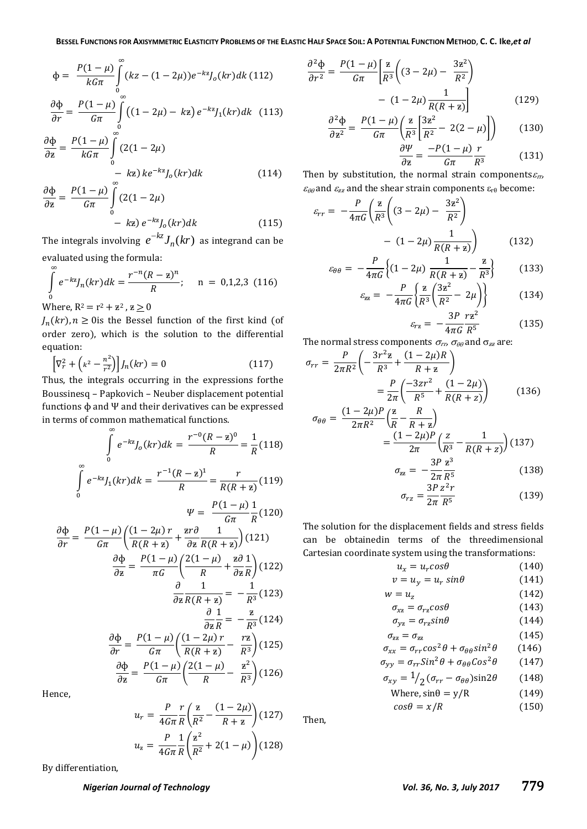$$
\Phi = \frac{P(1-\mu)}{kG\pi} \int_{0}^{\infty} (kz - (1-2\mu))e^{-kz} J_o(kr)dk
$$
(112)  

$$
\frac{\partial \Phi}{\partial r} = \frac{P(1-\mu)}{G\pi} \int_{0}^{\infty} ((1-2\mu) - kz) e^{-kz} J_1(kr)dk
$$
(113)

$$
\frac{\partial \Phi}{\partial z} = \frac{P(1-\mu)}{kG\pi} \int_{0}^{\infty} (2(1-2\mu) - kz) k e^{-kz} J_o(kr) dk
$$
\n(114)

$$
\frac{P}{\epsilon} = \frac{P(1-\mu)}{G\pi} \int_{0}^{R} (2(1-2\mu) - kz) e^{-kz} J_o(kr) dk
$$
 (115)

The integrals involving  $e^{-kz}J_n(kr)$  as integrand can be evaluated using the formula:

$$
\int_{0}^{\infty} e^{-kz} J_n(kr) dk = \frac{r^{-n}(R - z)^n}{R}; \quad n = 0, 1, 2, 3 \text{ (116)}
$$
\nWhere, R<sup>2</sup> = r<sup>2</sup> + z<sup>2</sup>, z \ge 0

 $J_n(kr)$ ,  $n \geq 0$  is the Bessel function of the first kind (of order zero), which is the solution to the differential equation:

$$
\left[\nabla_r^2 + \left(k^2 - \frac{n^2}{r^2}\right)\right]J_n(kr) = 0\tag{117}
$$

Thus, the integrals occurring in the expressions forthe Boussinesq – Papkovich – Neuber displacement potential functions  $\phi$  and  $\Psi$  and their derivatives can be expressed in terms of common mathematical functions.

$$
\int_{0}^{\infty} e^{-kz} J_0(kr) dk = \frac{r^{-0} (R - z)^0}{R} = \frac{1}{R} (118)
$$

$$
\int_{0}^{\infty} e^{-kz} J_1(kr) dk = \frac{r^{-1} (R - z)^1}{R} = \frac{r}{R(R + z)} (119)
$$

$$
\Psi = \frac{P(1 - \mu)}{G\pi} \frac{1}{R} (120)
$$

$$
\frac{\partial \Phi}{\partial r} = \frac{P(1 - \mu)}{G\pi} \left(\frac{(1 - 2\mu) r}{R(R + z)} + \frac{z r \partial}{\partial z} \frac{1}{R(R + z)}\right) (121)
$$

$$
\frac{\partial \Phi}{\partial z} = \frac{P(1 - \mu)}{\pi G} \left(\frac{2(1 - \mu)}{R} + \frac{z \partial}{\partial z} \frac{1}{R}\right) (122)
$$

$$
\frac{\partial}{\partial z} \frac{1}{R(R + z)} = -\frac{1}{R^3} (123)
$$

$$
\frac{\partial}{\partial r} \frac{1}{R} = -\frac{z}{R^3} (124)
$$

$$
\frac{\partial \Phi}{\partial r} = \frac{P(1 - \mu)}{G\pi} \left(\frac{(1 - 2\mu) r}{R(R + z)} - \frac{r z}{R^3}\right) (125)
$$

$$
\frac{\partial \Phi}{\partial z} = \frac{P(1 - \mu)}{G\pi} \left(\frac{2(1 - \mu)}{R} - \frac{z^2}{R^3}\right) (126)
$$

Hence,

 $\partial$ 

$$
u_r = \frac{P}{4G\pi} \frac{r}{R} \left(\frac{z}{R^2} - \frac{(1 - 2\mu)}{R + z}\right) (127)
$$

$$
u_z = \frac{P}{4G\pi} \frac{1}{R} \left(\frac{z^2}{R^2} + 2(1 - \mu)\right) (128)
$$

By differentiation,

$$
\frac{\partial^2 \Phi}{\partial r^2} = \frac{P(1-\mu)}{G\pi} \left[ \frac{\mathbf{z}}{R^3} \left( (3-2\mu) - \frac{3\mathbf{z}^2}{R^2} \right) - (1-2\mu) \frac{1}{R(R+\mathbf{z})} \right]
$$
(129)

$$
\frac{\partial^2 \Phi}{\partial z^2} = \frac{P(1-\mu)}{G\pi} \left( \frac{z}{R^3} \left[ \frac{3z^2}{R^2} - 2(2-\mu) \right] \right) \tag{130}
$$
\n
$$
\frac{\partial \Psi}{\partial \Psi} - P(1-\mu) r \tag{131}
$$

$$
\frac{\partial T}{\partial z} = \frac{TC}{G\pi} \frac{\mu}{R^3}
$$
 (131)

Then by substitution, the normal strain components  $\varepsilon_{rr}$ ,  $\varepsilon_{\theta\theta}$  and  $\varepsilon_{zz}$  and the shear strain components  $\varepsilon_{r\theta}$  become:

$$
\varepsilon_{rr} = -\frac{P}{4\pi G} \left( \frac{\mathbf{z}}{R^3} \left( (3 - 2\mu) - \frac{3\mathbf{z}^2}{R^2} \right) - (1 - 2\mu) \frac{1}{R(R + \mathbf{z})} \right) \tag{132}
$$

$$
\varepsilon_{\theta\theta} = -\frac{P}{4\pi G} \Big\{ (1 - 2\mu) \frac{1}{R(R + z)} - \frac{z}{R^3} \Big\} \tag{133}
$$

$$
\varepsilon_{zz} = -\frac{P}{4\pi G} \left\{ \frac{z}{R^3} \left( \frac{3z^2}{R^2} - 2\mu \right) \right\} \tag{134}
$$

$$
\varepsilon_{rz} = -\frac{3P}{4\pi G} \frac{rz^2}{R^5} \tag{135}
$$

The normal stress components  $\sigma_{rr}$ ,  $\sigma_{\theta\theta}$  and  $\sigma_{zz}$  are:

$$
\sigma_{rr} = \frac{P}{2\pi R^2} \left( -\frac{3r^2 z}{R^3} + \frac{(1 - 2\mu)R}{R + z} \right)
$$

$$
= \frac{P}{2\pi} \left( \frac{-3zr^2}{R^5} + \frac{(1 - 2\mu)}{R(R + z)} \right) \tag{136}
$$

$$
\sigma_{\theta\theta} = \frac{(1 - 2\mu)P}{2\pi R^2} \left(\frac{z}{R} - \frac{R}{R + z}\right)
$$
  
= 
$$
\frac{(1 - 2\mu)P}{2\pi} \left(\frac{z}{R^3} - \frac{1}{R(R + z)}\right)
$$
(137)  

$$
\sigma_{zz} = -\frac{3P z^3}{R^2} \tag{138}
$$

$$
\frac{1}{2z} = -\frac{1}{2\pi} \frac{1}{R^5}
$$
(130)  
3 $Pz^2r$  (130)

$$
\sigma_{rz} = \frac{5\pi}{2\pi} \frac{2\pi}{R^5} \tag{139}
$$

The solution for the displacement fields and stress fields can be obtainedin terms of the threedimensional Cartesian coordinate system using the transformations:

$$
u_x = u_r \cos \theta
$$
 (140)  
\n
$$
v = u_y = u_r \sin \theta
$$
 (141)  
\n
$$
w = u_z
$$
 (142)  
\n
$$
\sigma_{xz} = \sigma_{rz} \cos \theta
$$
 (143)  
\n
$$
\sigma_{yz} = \sigma_{rz} \sin \theta
$$
 (144)  
\n
$$
\sigma_{zz} = \sigma_{zz}
$$
 (145)

$$
\sigma_{xx} = \sigma_{rr} \cos^2 \theta + \sigma_{\theta \theta} \sin^2 \theta \qquad (146)
$$

$$
\sigma_{yy} = \sigma_{rr} Sin^2 \theta + \sigma_{\theta\theta} Cos^2 \theta \qquad (147)
$$

$$
\sigma_{xy} = \frac{1}{2} (\sigma_{rr} - \sigma_{\theta\theta}) \sin 2\theta \qquad (148)
$$

Where,  $sin\theta = y/R$  (149)  $cos\theta = x/R$  (150)

Then,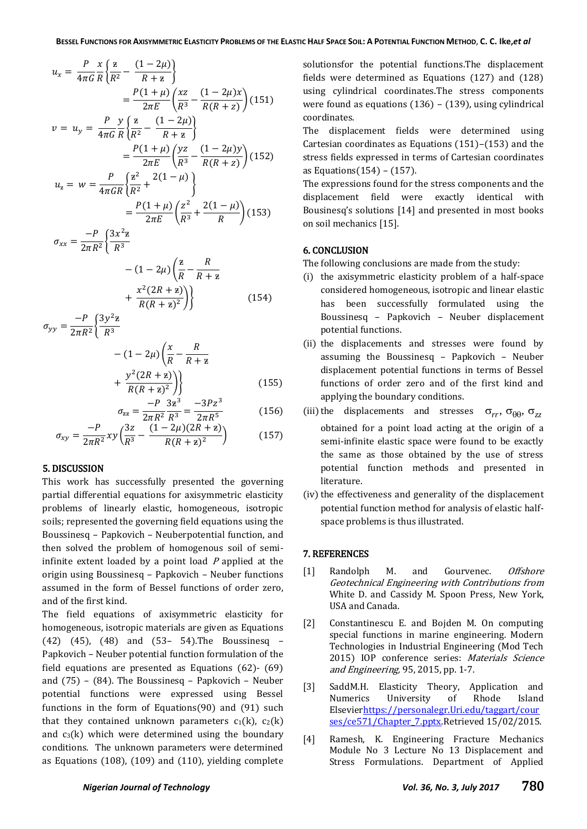$$
u_x = \frac{P}{4\pi G} \frac{x}{R} \left\{ \frac{z}{R^2} - \frac{(1 - 2\mu)}{R + z} \right\}
$$
  
\n
$$
= \frac{P(1 + \mu)}{2\pi E} \left( \frac{xz}{R^3} - \frac{(1 - 2\mu)x}{R(R + z)} \right)
$$
(151)  
\n
$$
v = u_y = \frac{P}{4\pi G} \frac{y}{R} \left\{ \frac{z}{R^2} - \frac{(1 - 2\mu)}{R + z} \right\}
$$
  
\n
$$
= \frac{P(1 + \mu)}{2\pi E} \left( \frac{yz}{R^3} - \frac{(1 - 2\mu)y}{R(R + z)} \right)
$$
(152)  
\n
$$
u_z = w = \frac{P}{4\pi G R} \left\{ \frac{z^2}{R^2} + \frac{2(1 - \mu)}{R} \right\}
$$
  
\n
$$
= \frac{P(1 + \mu)}{2\pi E} \left( \frac{z^2}{R^3} + \frac{2(1 - \mu)}{R} \right)
$$
(153)

$$
= \frac{P(1+\mu)}{2\pi E} \left(\frac{z^2}{R^3} + \frac{2(1-\mu)}{R}\right)
$$

$$
\sigma_{xx} = \frac{-P}{2\pi R^2} \left\{\frac{3x^2 z}{R^3}\right\}
$$

$$
-(1-2\mu)\left(\frac{z}{R} - \frac{R}{R+z}\n+ \frac{x^2(2R+z)}{R(R+z)^2}\right)
$$
\n
$$
(154)
$$

$$
\sigma_{yy} = \frac{-P}{2\pi R^2} \left\{ \frac{3y^2z}{R^3} - (1 - 2\mu) \left( \frac{x}{R} - \frac{R}{R + z} \right) \right\}
$$

$$
v^2 (2R + z))
$$

$$
+\frac{y^{2}(2R+z)}{R(R+z)^{2}}\bigg\}\n\qquad (155)
$$

$$
\sigma_{zz} = \frac{-P}{2\pi R^2} \frac{3z^3}{R^3} = \frac{-3Pz^3}{2\pi R^5}
$$
(156)

$$
\sigma_{xy} = \frac{-P}{2\pi R^2} xy \left(\frac{3z}{R^3} - \frac{(1 - 2\mu)(2R + z)}{R(R + z)^2}\right) \tag{157}
$$

### 5. DISCUSSION

This work has successfully presented the governing partial differential equations for axisymmetric elasticity problems of linearly elastic, homogeneous, isotropic soils; represented the governing field equations using the Boussinesq – Papkovich – Neuberpotential function, and then solved the problem of homogenous soil of semiinfinite extent loaded by a point load  $P$  applied at the origin using Boussinesq – Papkovich – Neuber functions assumed in the form of Bessel functions of order zero, and of the first kind.

The field equations of axisymmetric elasticity for homogeneous, isotropic materials are given as Equations (42) (45), (48) and (53– 54).The Boussinesq – Papkovich – Neuber potential function formulation of the field equations are presented as Equations (62)- (69) and (75) – (84). The Boussinesq – Papkovich – Neuber potential functions were expressed using Bessel functions in the form of Equations(90) and (91) such that they contained unknown parameters  $c_1(k)$ ,  $c_2(k)$ and  $c_3(k)$  which were determined using the boundary conditions. The unknown parameters were determined as Equations (108), (109) and (110), yielding complete

solutionsfor the potential functions.The displacement fields were determined as Equations (127) and (128) using cylindrical coordinates.The stress components were found as equations (136) – (139), using cylindrical coordinates.

The displacement fields were determined using Cartesian coordinates as Equations (151)–(153) and the stress fields expressed in terms of Cartesian coordinates as Equations(154) – (157).

The expressions found for the stress components and the displacement field were exactly identical with Bousinesq's solutions [14] and presented in most books on soil mechanics [15].

# 6. CONCLUSION

The following conclusions are made from the study:

- (i) the axisymmetric elasticity problem of a half-space considered homogeneous, isotropic and linear elastic has been successfully formulated using the Boussinesq – Papkovich – Neuber displacement potential functions.
- (ii) the displacements and stresses were found by assuming the Boussinesq – Papkovich – Neuber displacement potential functions in terms of Bessel functions of order zero and of the first kind and applying the boundary conditions.
- (iii) the displacements and stresses  $\sigma_{rr}$ ,  $\sigma_{\theta\theta}$ ,  $\sigma_{zz}$ obtained for a point load acting at the origin of a semi-infinite elastic space were found to be exactly the same as those obtained by the use of stress potential function methods and presented in literature.
- (iv) the effectiveness and generality of the displacement potential function method for analysis of elastic halfspace problems is thus illustrated.

# 7. REFERENCES

- [1] Randolph M. and Gourvenec. *Offshore* Geotechnical Engineering with Contributions from White D. and Cassidy M. Spoon Press, New York, USA and Canada.
- [2] Constantinescu E. and Bojden M. On computing special functions in marine engineering. Modern Technologies in Industrial Engineering (Mod Tech 2015) IOP conference series: Materials Science and Engineering, 95, 2015, pp. 1-7.
- [3] SaddM.H. Elasticity Theory, Application and Numerics University of Rhode Island Elsevie[rhttps://personalegr.Uri.edu/taggart/cour](https://personalegr.uri.edu/taggart/courses/ce571/Chapter_7.pptx) [ses/ce571/Chapter\\_7.pptx.](https://personalegr.uri.edu/taggart/courses/ce571/Chapter_7.pptx)Retrieved 15/02/2015.
- [4] Ramesh, K. Engineering Fracture Mechanics Module No 3 Lecture No 13 Displacement and Stress Formulations. Department of Applied